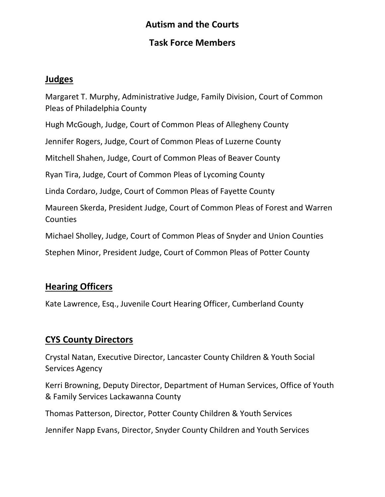# **Autism and the Courts**

#### **Task Force Members**

#### **Judges**

Margaret T. Murphy, Administrative Judge, Family Division, Court of Common Pleas of Philadelphia County

Hugh McGough, Judge, Court of Common Pleas of Allegheny County

Jennifer Rogers, Judge, Court of Common Pleas of Luzerne County

Mitchell Shahen, Judge, Court of Common Pleas of Beaver County

Ryan Tira, Judge, Court of Common Pleas of Lycoming County

Linda Cordaro, Judge, Court of Common Pleas of Fayette County

Maureen Skerda, President Judge, Court of Common Pleas of Forest and Warren **Counties** 

Michael Sholley, Judge, Court of Common Pleas of Snyder and Union Counties

Stephen Minor, President Judge, Court of Common Pleas of Potter County

# **Hearing Officers**

Kate Lawrence, Esq., Juvenile Court Hearing Officer, Cumberland County

# **CYS County Directors**

Crystal Natan, Executive Director, Lancaster County Children & Youth Social Services Agency

Kerri Browning, Deputy Director, Department of Human Services, Office of Youth & Family Services Lackawanna County

Thomas Patterson, Director, Potter County Children & Youth Services

Jennifer Napp Evans, Director, Snyder County Children and Youth Services